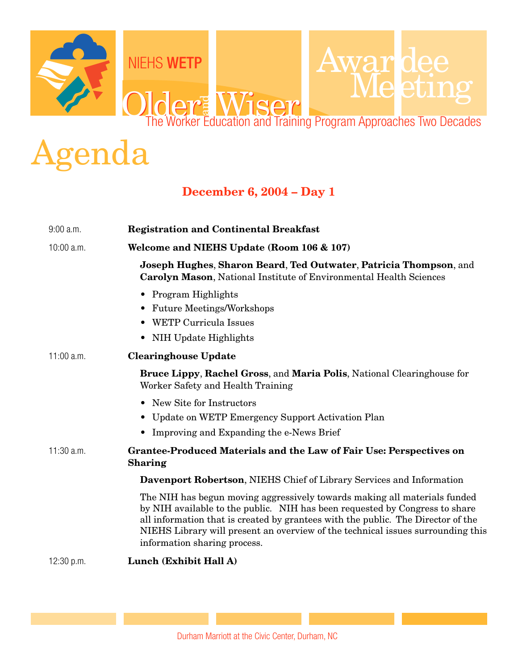

## Agenda

## **December 6, 2004 – Day 1**

| $9:00$ a.m. | <b>Registration and Continental Breakfast</b>                                                                                                                                                                                                                                                                                                                   |
|-------------|-----------------------------------------------------------------------------------------------------------------------------------------------------------------------------------------------------------------------------------------------------------------------------------------------------------------------------------------------------------------|
| 10:00 a.m.  | Welcome and NIEHS Update (Room 106 & 107)                                                                                                                                                                                                                                                                                                                       |
|             | Joseph Hughes, Sharon Beard, Ted Outwater, Patricia Thompson, and<br><b>Carolyn Mason, National Institute of Environmental Health Sciences</b>                                                                                                                                                                                                                  |
|             | • Program Highlights<br><b>Future Meetings/Workshops</b><br>WETP Curricula Issues<br>NIH Update Highlights<br>$\bullet$                                                                                                                                                                                                                                         |
| 11:00 a.m.  | <b>Clearinghouse Update</b>                                                                                                                                                                                                                                                                                                                                     |
|             | <b>Bruce Lippy, Rachel Gross, and Maria Polis, National Clearinghouse for</b><br>Worker Safety and Health Training                                                                                                                                                                                                                                              |
|             | • New Site for Instructors                                                                                                                                                                                                                                                                                                                                      |
|             | Update on WETP Emergency Support Activation Plan                                                                                                                                                                                                                                                                                                                |
|             | • Improving and Expanding the e-News Brief                                                                                                                                                                                                                                                                                                                      |
| 11:30 a.m.  | <b>Grantee-Produced Materials and the Law of Fair Use: Perspectives on</b><br><b>Sharing</b>                                                                                                                                                                                                                                                                    |
|             | <b>Davenport Robertson, NIEHS Chief of Library Services and Information</b>                                                                                                                                                                                                                                                                                     |
|             | The NIH has begun moving aggressively towards making all materials funded<br>by NIH available to the public. NIH has been requested by Congress to share<br>all information that is created by grantees with the public. The Director of the<br>NIEHS Library will present an overview of the technical issues surrounding this<br>information sharing process. |
| 12:30 p.m.  | Lunch (Exhibit Hall A)                                                                                                                                                                                                                                                                                                                                          |

Durham Marriott at the Civic Center, Durham, NC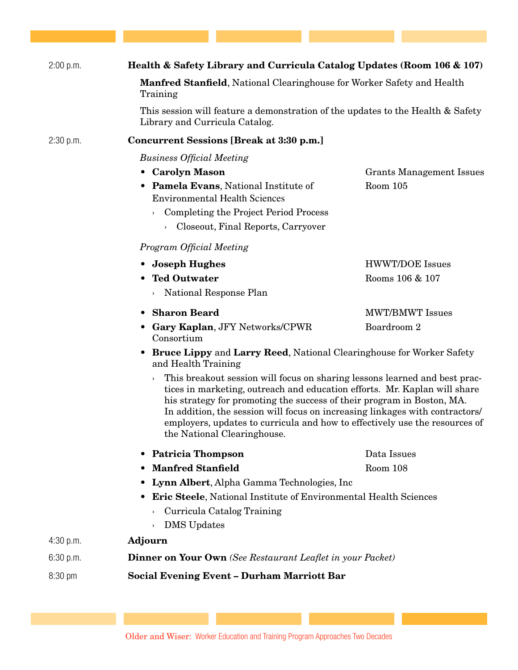| 2:00 p.m. | Health & Safety Library and Curricula Catalog Updates (Room 106 & 107)                                                                                                                                                                                                                                                                                                                                                                  |                                 |
|-----------|-----------------------------------------------------------------------------------------------------------------------------------------------------------------------------------------------------------------------------------------------------------------------------------------------------------------------------------------------------------------------------------------------------------------------------------------|---------------------------------|
|           | <b>Manfred Stanfield, National Clearinghouse for Worker Safety and Health</b><br>Training                                                                                                                                                                                                                                                                                                                                               |                                 |
|           | This session will feature a demonstration of the updates to the Health & Safety<br>Library and Curricula Catalog.                                                                                                                                                                                                                                                                                                                       |                                 |
| 2:30 p.m. | <b>Concurrent Sessions [Break at 3:30 p.m.]</b>                                                                                                                                                                                                                                                                                                                                                                                         |                                 |
|           | <b>Business Official Meeting</b>                                                                                                                                                                                                                                                                                                                                                                                                        |                                 |
|           | • Carolyn Mason                                                                                                                                                                                                                                                                                                                                                                                                                         | <b>Grants Management Issues</b> |
|           | • Pamela Evans, National Institute of<br><b>Environmental Health Sciences</b>                                                                                                                                                                                                                                                                                                                                                           | Room 105                        |
|           | Completing the Project Period Process<br>$\,$                                                                                                                                                                                                                                                                                                                                                                                           |                                 |
|           | Closeout, Final Reports, Carryover<br>$\!\!>$                                                                                                                                                                                                                                                                                                                                                                                           |                                 |
|           | Program Official Meeting                                                                                                                                                                                                                                                                                                                                                                                                                |                                 |
|           | <b>Joseph Hughes</b>                                                                                                                                                                                                                                                                                                                                                                                                                    | <b>HWWT/DOE Issues</b>          |
|           | <b>Ted Outwater</b>                                                                                                                                                                                                                                                                                                                                                                                                                     | Rooms 106 & 107                 |
|           | National Response Plan<br>$\,$                                                                                                                                                                                                                                                                                                                                                                                                          |                                 |
|           | <b>Sharon Beard</b><br>$\bullet$                                                                                                                                                                                                                                                                                                                                                                                                        | <b>MWT/BMWT Issues</b>          |
|           | • Gary Kaplan, JFY Networks/CPWR<br>Consortium                                                                                                                                                                                                                                                                                                                                                                                          | Boardroom 2                     |
|           | • Bruce Lippy and Larry Reed, National Clearinghouse for Worker Safety<br>and Health Training                                                                                                                                                                                                                                                                                                                                           |                                 |
|           | This breakout session will focus on sharing lessons learned and best prac-<br>$\,$<br>tices in marketing, outreach and education efforts. Mr. Kaplan will share<br>his strategy for promoting the success of their program in Boston, MA.<br>In addition, the session will focus on increasing linkages with contractors/<br>employers, updates to curricula and how to effectively use the resources of<br>the National Clearinghouse. |                                 |
|           | <b>Patricia Thompson</b>                                                                                                                                                                                                                                                                                                                                                                                                                | Data Issues                     |
|           | <b>Manfred Stanfield</b>                                                                                                                                                                                                                                                                                                                                                                                                                | Room 108                        |
|           | Lynn Albert, Alpha Gamma Technologies, Inc.                                                                                                                                                                                                                                                                                                                                                                                             |                                 |
|           | <b>Eric Steele, National Institute of Environmental Health Sciences</b>                                                                                                                                                                                                                                                                                                                                                                 |                                 |
|           | Curricula Catalog Training<br>$\,$                                                                                                                                                                                                                                                                                                                                                                                                      |                                 |
|           | <b>DMS</b> Updates<br>$\,$                                                                                                                                                                                                                                                                                                                                                                                                              |                                 |
| 4:30 p.m. | <b>Adjourn</b>                                                                                                                                                                                                                                                                                                                                                                                                                          |                                 |
| 6:30 p.m. | Dinner on Your Own (See Restaurant Leaflet in your Packet)                                                                                                                                                                                                                                                                                                                                                                              |                                 |
| 8:30 pm   | <b>Social Evening Event - Durham Marriott Bar</b>                                                                                                                                                                                                                                                                                                                                                                                       |                                 |

Older and Wiser: Worker Education and Training Program Approaches Two Decades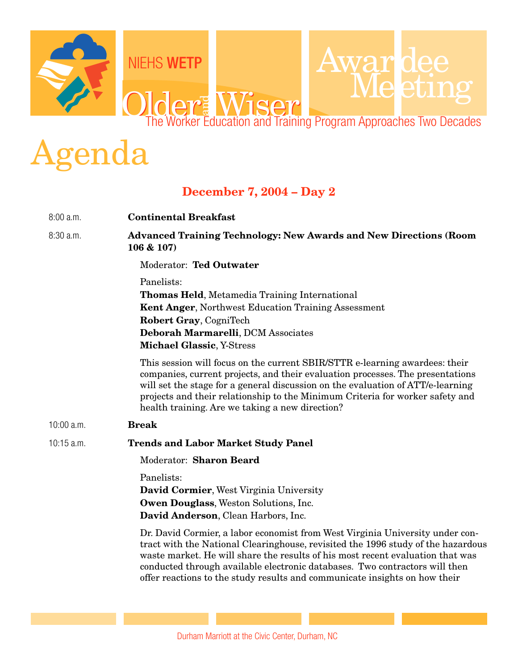

## Agenda

## **December 7, 2004 – Day 2**

| 8:00a.m.     | <b>Continental Breakfast</b>                                                                                                                                                                                                                                                                                                                                                                                     |
|--------------|------------------------------------------------------------------------------------------------------------------------------------------------------------------------------------------------------------------------------------------------------------------------------------------------------------------------------------------------------------------------------------------------------------------|
| 8:30 a.m.    | <b>Advanced Training Technology: New Awards and New Directions (Room</b><br>106 & 107)                                                                                                                                                                                                                                                                                                                           |
|              | Moderator: Ted Outwater                                                                                                                                                                                                                                                                                                                                                                                          |
|              | Panelists:<br><b>Thomas Held, Metamedia Training International</b><br><b>Kent Anger, Northwest Education Training Assessment</b><br>Robert Gray, CogniTech<br>Deborah Marmarelli, DCM Associates<br><b>Michael Glassic, Y-Stress</b>                                                                                                                                                                             |
|              | This session will focus on the current SBIR/STTR e-learning awardees: their<br>companies, current projects, and their evaluation processes. The presentations<br>will set the stage for a general discussion on the evaluation of ATT/e-learning<br>projects and their relationship to the Minimum Criteria for worker safety and<br>health training. Are we taking a new direction?                             |
| $10:00$ a.m. | <b>Break</b>                                                                                                                                                                                                                                                                                                                                                                                                     |
| 10:15 a.m.   | <b>Trends and Labor Market Study Panel</b>                                                                                                                                                                                                                                                                                                                                                                       |
|              | Moderator: Sharon Beard                                                                                                                                                                                                                                                                                                                                                                                          |
|              | Panelists:<br><b>David Cormier, West Virginia University</b><br>Owen Douglass, Weston Solutions, Inc.<br>David Anderson, Clean Harbors, Inc.                                                                                                                                                                                                                                                                     |
|              | Dr. David Cormier, a labor economist from West Virginia University under con-<br>tract with the National Clearinghouse, revisited the 1996 study of the hazardous<br>waste market. He will share the results of his most recent evaluation that was<br>conducted through available electronic databases. Two contractors will then<br>offer reactions to the study results and communicate insights on how their |